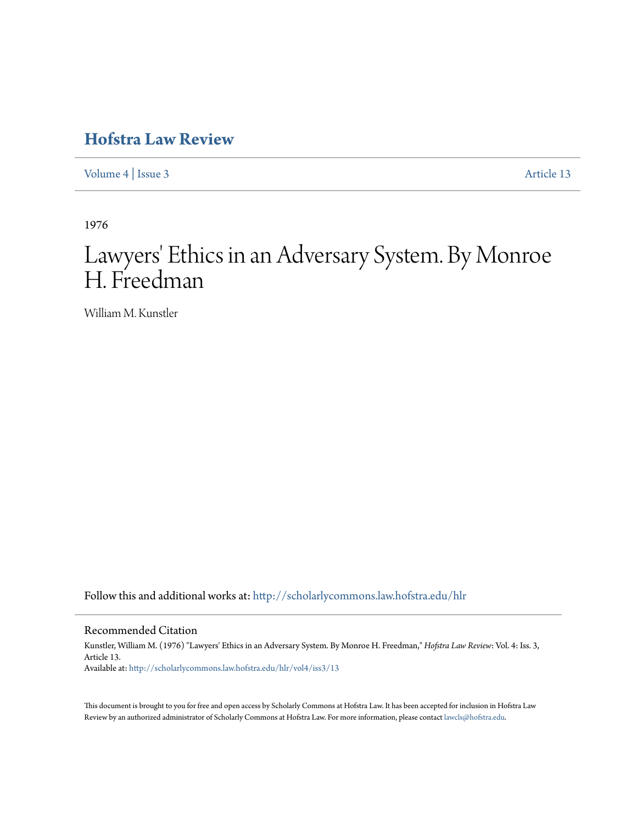## **[Hofstra Law Review](http://scholarlycommons.law.hofstra.edu/hlr?utm_source=scholarlycommons.law.hofstra.edu%2Fhlr%2Fvol4%2Fiss3%2F13&utm_medium=PDF&utm_campaign=PDFCoverPages)**

[Volume 4](http://scholarlycommons.law.hofstra.edu/hlr/vol4?utm_source=scholarlycommons.law.hofstra.edu%2Fhlr%2Fvol4%2Fiss3%2F13&utm_medium=PDF&utm_campaign=PDFCoverPages) | [Issue 3](http://scholarlycommons.law.hofstra.edu/hlr/vol4/iss3?utm_source=scholarlycommons.law.hofstra.edu%2Fhlr%2Fvol4%2Fiss3%2F13&utm_medium=PDF&utm_campaign=PDFCoverPages) [Article 13](http://scholarlycommons.law.hofstra.edu/hlr/vol4/iss3/13?utm_source=scholarlycommons.law.hofstra.edu%2Fhlr%2Fvol4%2Fiss3%2F13&utm_medium=PDF&utm_campaign=PDFCoverPages)

1976

# Lawyers' Ethics in an Adversary System. By Monroe H. Freedman

William M. Kunstler

Follow this and additional works at: [http://scholarlycommons.law.hofstra.edu/hlr](http://scholarlycommons.law.hofstra.edu/hlr?utm_source=scholarlycommons.law.hofstra.edu%2Fhlr%2Fvol4%2Fiss3%2F13&utm_medium=PDF&utm_campaign=PDFCoverPages)

#### Recommended Citation

Kunstler, William M. (1976) "Lawyers' Ethics in an Adversary System. By Monroe H. Freedman," *Hofstra Law Review*: Vol. 4: Iss. 3, Article 13. Available at: [http://scholarlycommons.law.hofstra.edu/hlr/vol4/iss3/13](http://scholarlycommons.law.hofstra.edu/hlr/vol4/iss3/13?utm_source=scholarlycommons.law.hofstra.edu%2Fhlr%2Fvol4%2Fiss3%2F13&utm_medium=PDF&utm_campaign=PDFCoverPages)

This document is brought to you for free and open access by Scholarly Commons at Hofstra Law. It has been accepted for inclusion in Hofstra Law Review by an authorized administrator of Scholarly Commons at Hofstra Law. For more information, please contact [lawcls@hofstra.edu](mailto:lawcls@hofstra.edu).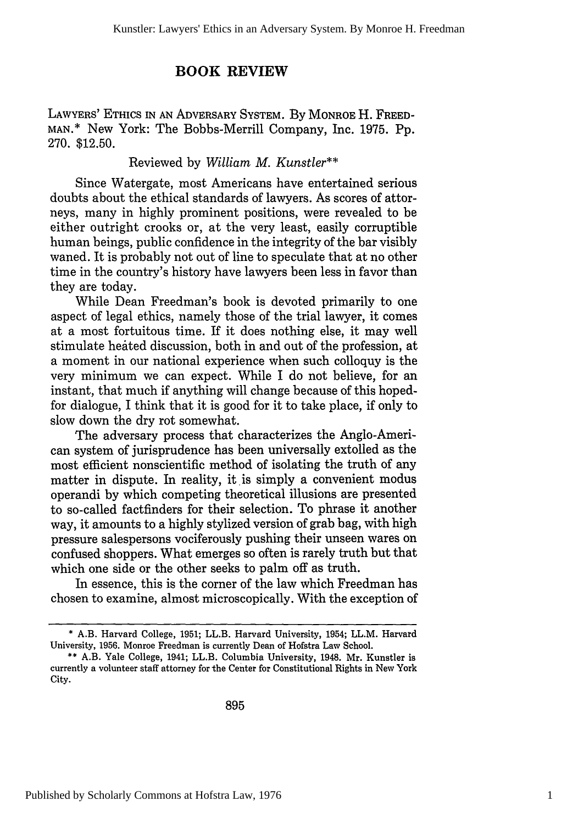### **BOOK REVIEW**

LAWYERS' ETHICS IN AN ADVERSARY SYSTEM. By MONROE H. FREED-MAN.\* New York: The Bobbs-Merrill Company, Inc. 1975. Pp. 270. \$12.50.

#### Reviewed by *William M. Kunstler\*\**

Since Watergate, most Americans have entertained serious doubts about the ethical standards of lawyers. As scores of attorneys, many in highly prominent positions, were revealed to be either outright crooks or, at the very least, easily corruptible human beings, public confidence in the integrity of the bar visibly waned. It is probably not out of line to speculate that at no other time in the country's history have lawyers been less in favor than they are today.

While Dean Freedman's book is devoted primarily to one aspect of legal ethics, namely those of the trial lawyer, it comes at a most fortuitous time. If it does nothing else, it may well stimulate heated discussion, both in and out of the profession, at a moment in our national experience when such colloquy is the very minimum we can expect. While I do not believe, for an instant, that much if anything will change because of this hopedfor dialogue, I think that it is good for it to take place, if only to slow down the dry rot somewhat.

The adversary process that characterizes the Anglo-American system of jurisprudence has been universally extolled as the most efficient nonscientific method of isolating the truth of any matter in dispute. In reality, it is simply a convenient modus operandi by which competing theoretical illusions are presented to so-called factfinders for their selection. To phrase it another way, it amounts to a highly stylized version of grab bag, with high pressure salespersons vociferously pushing their unseen wares on confused shoppers. What emerges so often is rarely truth but that which one side or the other seeks to palm off as truth.

In essence, this is the corner of the law which Freedman has chosen to examine, almost microscopically. With the exception of

<sup>\*</sup> A.B. Harvard College, 1951; LL.B. Harvard University, 1954; LL.M. Harvard University, 1956. Monroe Freedman is currently Dean of Hofstra Law School.

<sup>\*\*</sup> A.B. Yale College, 1941; LL.B. Columbia University, 1948. Mr. Kunstler is currently a volunteer staff attorney for the Center for Constitutional Rights in New York City.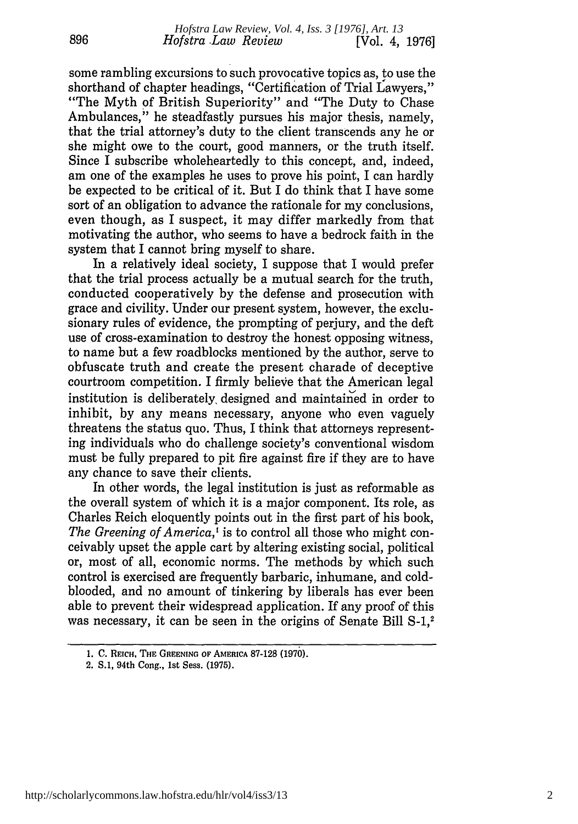some rambling excursions to such provocative topics as, to use the shorthand of chapter headings, "Certification of Trial Lawyers," "The Myth of British Superiority" and "The Duty to Chase Ambulances," he steadfastly pursues his major thesis, namely, that the trial attorney's duty to the client transcends any he or she might owe to the court, good manners, or the truth itself. Since I subscribe wholeheartedly to this concept, and, indeed, am one of the examples he uses to prove his point, I can hardly be expected to be critical of it. But I do think that I have some sort of an obligation to advance the rationale for my conclusions, even though, as I suspect, it may differ markedly from that motivating the author, who seems to have a bedrock faith in the system that I cannot bring myself to share.

In a relatively ideal society, I suppose that I would prefer that the trial process actually be a mutual search for the truth, conducted cooperatively by the defense and prosecution with grace and civility. Under our present system, however, the exclusionary rules of evidence, the prompting of perjury, and the deft use of cross-examination to destroy the honest opposing witness, to name but a few roadblocks mentioned by the author, serve to obfuscate truth and create the present charade of deceptive courtroom competition. I firmly believe that the American legal institution is deliberately, designed and maintained in order to inhibit, by any means necessary, anyone who even vaguely threatens the status quo. Thus, I think that attorneys representing individuals who do challenge society's conventional wisdom must be fully prepared to pit fire against fire if they are to have any chance to save their clients.

In other words, the legal institution is just as reformable as the overall system of which it is a major component. Its role, as Charles Reich eloquently points out in the first part of his book, *The Greening of America,'* is to control all those who might conceivably upset the apple cart by altering existing social, political or, most of all, economic norms. The methods by which such control is exercised are frequently barbaric, inhumane, and coldblooded, and no amount of tinkering by liberals has ever been able to prevent their widespread application. If any proof of this was necessary, it can be seen in the origins of Senate Bill S-1,<sup>2</sup>

**<sup>1.</sup> C. REICH, THE GREENING** OF **AMERICA 87-128** (1970).

**<sup>2.</sup> S.1,** 94th **Cong., 1st Sess. (1975).**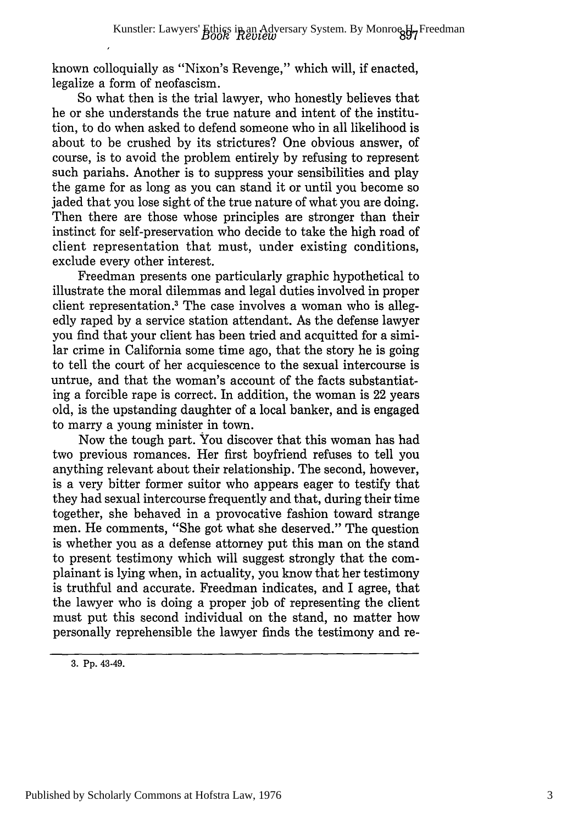known colloquially as "Nixon's Revenge," which will, if enacted, legalize a form of neofascism.

So what then is the trial lawyer, who honestly believes that he or she understands the true nature and intent of the institution, to do when asked to defend someone who in all likelihood is about to be crushed by its strictures? One obvious answer, of course, is to avoid the problem entirely by refusing to represent such pariahs. Another is to suppress your sensibilities and play the game for as long as you can stand it or until you become so jaded that you lose sight of the true nature of what you are doing. Then there are those whose principles are stronger than their instinct for self-preservation who decide to take the high road of client representation that must, under existing conditions, exclude every other interest.

Freedman presents one particularly graphic hypothetical to illustrate the moral dilemmas and legal duties involved in proper client representation.<sup>3</sup> The case involves a woman who is allegedly raped by a service station attendant. As the defense lawyer you find that your client has been tried and acquitted for a similar crime in California some time ago, that the story he is going to tell the court of her acquiescence to the sexual intercourse is untrue, and that the woman's account of the facts substantiating a forcible rape is correct. In addition, the woman is 22 years old, is the upstanding daughter of a local banker, and is engaged to marry a young minister in town.

Now the tough part. You discover that this woman has had two previous romances. Her first boyfriend refuses to tell you anything relevant about their relationship. The second, however, is a very bitter former suitor who appears eager to testify that they had sexual intercourse frequently and that, during their time together, she behaved in a provocative fashion toward strange men. He comments, "She got what she deserved." The question is whether you as a defense attorney put this man on the stand to present testimony which will suggest strongly that the complainant is lying when, in actuality, you know that her testimony is truthful and accurate. Freedman indicates, and I agree, that the lawyer who is doing a proper job of representing the client must put this second individual on the stand, no matter how personally reprehensible the lawyer finds the testimony and re-

<sup>3.</sup> Pp. 43-49.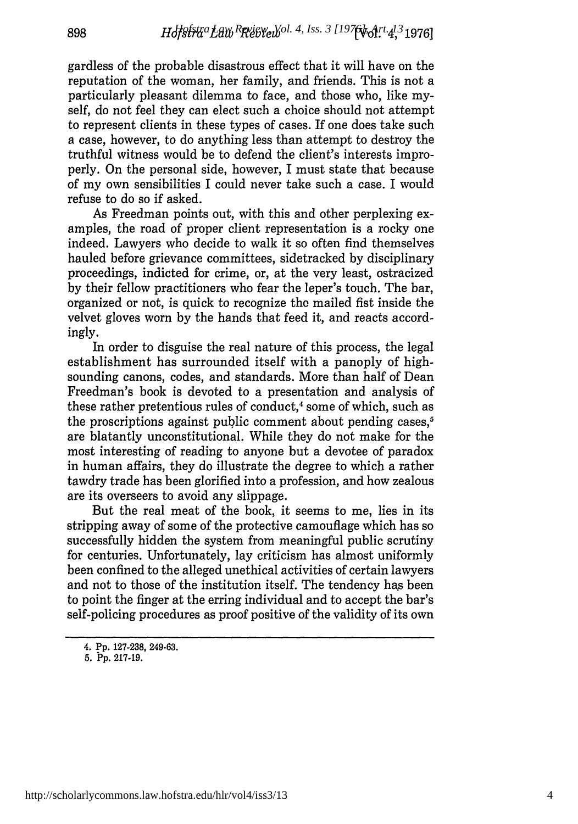gardless of the probable disastrous effect that it will have on the reputation of the woman, her family, and friends. This is not a particularly pleasant dilemma to face, and those who, like myself, do not feel they can elect such a choice should not attempt to represent clients in these types of cases. If one does take such a case, however, to do anything less than attempt to destroy the truthful witness would be to defend the client's interests improperly. On the personal side, however, I must state that because of my own sensibilities I could never take such a case. I would refuse to do so if asked.

As Freedman points out, with this and other perplexing examples, the road of proper client representation is a rocky one indeed. Lawyers who decide to walk it so often find themselves hauled before grievance committees, sidetracked by disciplinary proceedings, indicted for crime, or, at the very least, ostracized by their fellow practitioners who fear the leper's touch. The bar, organized or not, is quick to recognize the mailed fist inside the velvet gloves worn by the hands that feed it, and reacts accordingly.

In order to disguise the real nature of this process, the legal establishment has surrounded itself with a panoply of highsounding canons, codes, and standards. More than half of Dean Freedman's book is devoted to a presentation and analysis of these rather pretentious rules of conduct,<sup>4</sup> some of which, such as the proscriptions against public comment about pending cases,<sup>5</sup> are blatantly unconstitutional. While they do not make for the most interesting of reading to anyone but a devotee of paradox in human affairs, they do illustrate the degree to which a rather tawdry trade has been glorified into a profession, and how zealous are its overseers to avoid any slippage.

But the real meat of the book, it seems to me, lies in its stripping away of some of the protective camouflage which has so successfully hidden the system from meaningful public scrutiny for centuries. Unfortunately, lay criticism has almost uniformly been confined to the alleged unethical activities of certain lawyers and not to those of the institution itself. The tendency has been to point the finger at the erring individual and to accept the bar's self-policing procedures as proof positive of the validity of its own

<sup>4.</sup> **Pp.** 127-238, 249-63.

**<sup>5.</sup> Pp.** 217-19.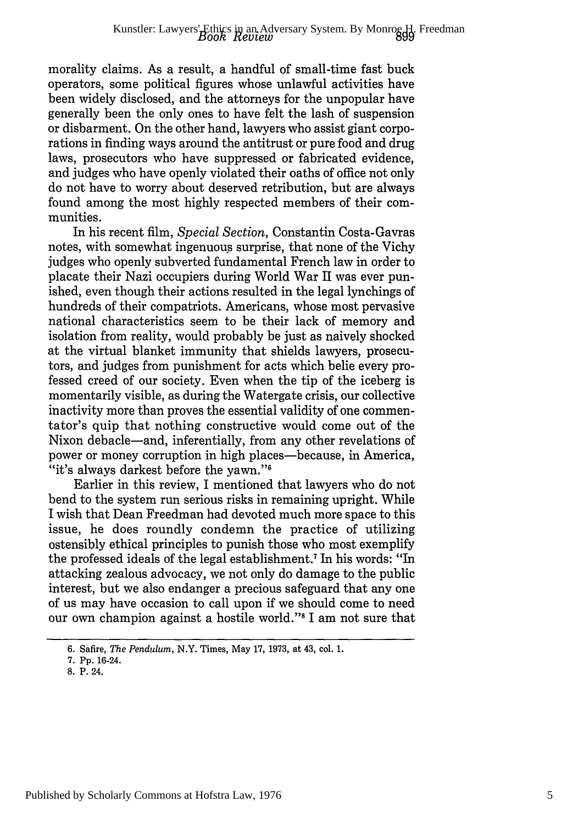morality claims. As a result, a handful of small-time fast buck operators, some political figures whose unlawful activities have been widely disclosed, and the attorneys for the unpopular have generally been the only ones to have felt the lash of suspension or disbarment. On the other hand, lawyers who assist giant corporations in finding ways around the antitrust or pure food and drug laws, prosecutors who have suppressed or fabricated evidence, and judges who have openly violated their oaths of office not only do not have to worry about deserved retribution, but are always found among the most highly respected members of their communities.

In his recent film, *Special Section,* Constantin Costa-Gavras notes, with somewhat ingenuous surprise, that none of the Vichy judges who openly subverted fundamental French law in order to placate their Nazi occupiers during World War II was ever punished, even though their actions resulted in the legal lynchings of hundreds of their compatriots. Americans, whose most pervasive national characteristics seem to be their lack of memory and isolation from reality, would probably be just as naively shocked at the virtual blanket immunity that shields lawyers, prosecutors, and judges from punishment for acts which belie every professed creed of our society. Even when the tip of the iceberg is momentarily visible, as during the Watergate crisis, our collective inactivity more than proves the essential validity of one commentator's quip that nothing constructive would come out of the Nixon debacle-and, inferentially, from any other revelations of power or money corruption in high places—because, in America, "it's always darkest before the yawn."<sup>6</sup>

Earlier in this review, I mentioned that lawyers who do not bend to the system run serious risks in remaining upright. While I wish that Dean Freedman had devoted much more space to this issue, he does roundly condemn the practice of utilizing ostensibly ethical principles to punish those who most exemplify the professed ideals of the legal establishment.7 In his words: "In attacking zealous advocacy, we not only do damage to the public interest, but we also endanger a precious safeguard that any one of us may have occasion to call upon if we should come to need our own champion against a hostile world."<sup>8</sup> I am not sure that

<sup>6.</sup> Safire, *The Pendulum,* N.Y. Times, May 17, 1973, at 43, col. 1.

<sup>7.</sup> Pp. 16-24.

**<sup>8.</sup>** P. 24.